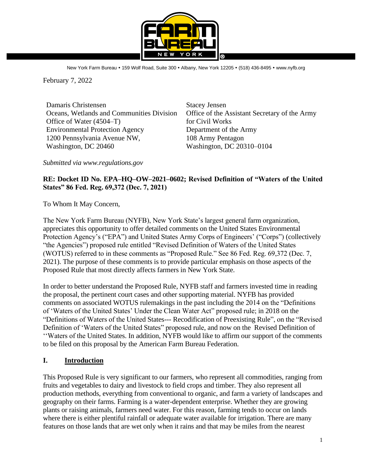

New York Farm Bureau • 159 Wolf Road, Suite 300 • Albany, New York 12205 • (518) 436-8495 • www.nyfb.org

February 7, 2022

Damaris Christensen Oceans, Wetlands and Communities Division Office of Water (4504–T) Environmental Protection Agency 1200 Pennsylvania Avenue NW, Washington, DC 20460

Stacey Jensen Office of the Assistant Secretary of the Army for Civil Works Department of the Army 108 Army Pentagon Washington, DC 20310–0104

*Submitted via www.regulations.gov*

#### **RE: Docket ID No. EPA–HQ–OW–2021–0602; Revised Definition of "Waters of the United States" 86 Fed. Reg. 69,372 (Dec. 7, 2021)**

To Whom It May Concern,

The New York Farm Bureau (NYFB), New York State's largest general farm organization, appreciates this opportunity to offer detailed comments on the United States Environmental Protection Agency's ("EPA") and United States Army Corps of Engineers' ("Corps") (collectively "the Agencies") proposed rule entitled "Revised Definition of Waters of the United States (WOTUS) referred to in these comments as "Proposed Rule." See 86 Fed. Reg. 69,372 (Dec. 7, 2021). The purpose of these comments is to provide particular emphasis on those aspects of the Proposed Rule that most directly affects farmers in New York State.

In order to better understand the Proposed Rule, NYFB staff and farmers invested time in reading the proposal, the pertinent court cases and other supporting material. NYFB has provided comments on associated WOTUS rulemakings in the past including the 2014 on the "Definitions of 'Waters of the United States' Under the Clean Water Act" proposed rule; in 2018 on the "Definitions of Waters of the United States--- Recodification of Preexisting Rule", on the "Revised Definition of 'Waters of the United States" proposed rule, and now on the Revised Definition of ''Waters of the United States. In addition, NYFB would like to affirm our support of the comments to be filed on this proposal by the American Farm Bureau Federation.

#### **I. Introduction**

This Proposed Rule is very significant to our farmers, who represent all commodities, ranging from fruits and vegetables to dairy and livestock to field crops and timber. They also represent all production methods, everything from conventional to organic, and farm a variety of landscapes and geography on their farms. Farming is a water-dependent enterprise. Whether they are growing plants or raising animals, farmers need water. For this reason, farming tends to occur on lands where there is either plentiful rainfall or adequate water available for irrigation. There are many features on those lands that are wet only when it rains and that may be miles from the nearest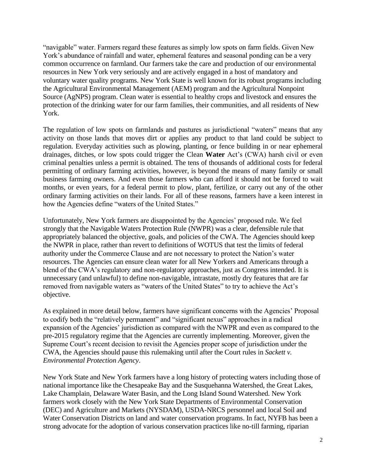"navigable" water. Farmers regard these features as simply low spots on farm fields. Given New York's abundance of rainfall and water, ephemeral features and seasonal ponding can be a very common occurrence on farmland. Our farmers take the care and production of our environmental resources in New York very seriously and are actively engaged in a host of mandatory and voluntary water quality programs. New York State is well known for its robust programs including the Agricultural Environmental Management (AEM) program and the Agricultural Nonpoint Source (AgNPS) program. Clean water is essential to healthy crops and livestock and ensures the protection of the drinking water for our farm families, their communities, and all residents of New York.

The regulation of low spots on farmlands and pastures as jurisdictional "waters" means that any activity on those lands that moves dirt or applies any product to that land could be subject to regulation. Everyday activities such as plowing, planting, or fence building in or near ephemeral drainages, ditches, or low spots could trigger the Clean **Water** Act's (CWA) harsh civil or even criminal penalties unless a permit is obtained. The tens of thousands of additional costs for federal permitting of ordinary farming activities, however, is beyond the means of many family or small business farming owners. And even those farmers who can afford it should not be forced to wait months, or even years, for a federal permit to plow, plant, fertilize, or carry out any of the other ordinary farming activities on their lands. For all of these reasons, farmers have a keen interest in how the Agencies define "waters of the United States."

Unfortunately, New York farmers are disappointed by the Agencies' proposed rule. We feel strongly that the Navigable Waters Protection Rule (NWPR) was a clear, defensible rule that appropriately balanced the objective, goals, and policies of the CWA. The Agencies should keep the NWPR in place, rather than revert to definitions of WOTUS that test the limits of federal authority under the Commerce Clause and are not necessary to protect the Nation's water resources. The Agencies can ensure clean water for all New Yorkers and Americans through a blend of the CWA's regulatory and non-regulatory approaches, just as Congress intended. It is unnecessary (and unlawful) to define non-navigable, intrastate, mostly dry features that are far removed from navigable waters as "waters of the United States" to try to achieve the Act's objective.

As explained in more detail below, farmers have significant concerns with the Agencies' Proposal to codify both the "relatively permanent" and "significant nexus" approaches in a radical expansion of the Agencies' jurisdiction as compared with the NWPR and even as compared to the pre-2015 regulatory regime that the Agencies are currently implementing. Moreover, given the Supreme Court's recent decision to revisit the Agencies proper scope of jurisdiction under the CWA, the Agencies should pause this rulemaking until after the Court rules in *Sackett v. Environmental Protection Agency*.

New York State and New York farmers have a long history of protecting waters including those of national importance like the Chesapeake Bay and the Susquehanna Watershed, the Great Lakes, Lake Champlain, Delaware Water Basin, and the Long Island Sound Watershed. New York farmers work closely with the New York State Departments of Environmental Conservation (DEC) and Agriculture and Markets (NYSDAM), USDA-NRCS personnel and local Soil and Water Conservation Districts on land and water conservation programs. In fact, NYFB has been a strong advocate for the adoption of various conservation practices like no-till farming, riparian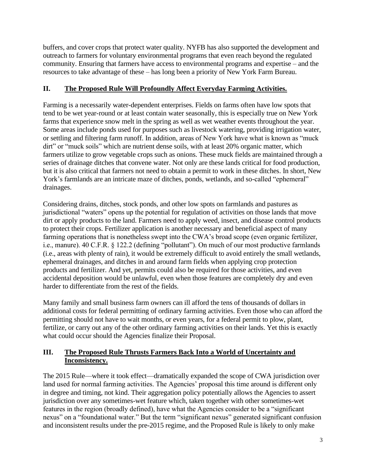buffers, and cover crops that protect water quality. NYFB has also supported the development and outreach to farmers for voluntary environmental programs that even reach beyond the regulated community. Ensuring that farmers have access to environmental programs and expertise – and the resources to take advantage of these – has long been a priority of New York Farm Bureau.

# **II. The Proposed Rule Will Profoundly Affect Everyday Farming Activities.**

Farming is a necessarily water-dependent enterprises. Fields on farms often have low spots that tend to be wet year-round or at least contain water seasonally, this is especially true on New York farms that experience snow melt in the spring as well as wet weather events throughout the year. Some areas include ponds used for purposes such as livestock watering, providing irrigation water, or settling and filtering farm runoff. In addition, areas of New York have what is known as "muck dirt" or "muck soils" which are nutrient dense soils, with at least 20% organic matter, which farmers utilize to grow vegetable crops such as onions. These muck fields are maintained through a series of drainage ditches that convene water. Not only are these lands critical for food production, but it is also critical that farmers not need to obtain a permit to work in these ditches. In short, New York's farmlands are an intricate maze of ditches, ponds, wetlands, and so-called "ephemeral" drainages.

Considering drains, ditches, stock ponds, and other low spots on farmlands and pastures as jurisdictional "waters" opens up the potential for regulation of activities on those lands that move dirt or apply products to the land. Farmers need to apply weed, insect, and disease control products to protect their crops. Fertilizer application is another necessary and beneficial aspect of many farming operations that is nonetheless swept into the CWA's broad scope (even organic fertilizer, i.e., manure). 40 C.F.R. § 122.2 (defining "pollutant"). On much of our most productive farmlands (i.e., areas with plenty of rain), it would be extremely difficult to avoid entirely the small wetlands, ephemeral drainages, and ditches in and around farm fields when applying crop protection products and fertilizer. And yet, permits could also be required for those activities, and even accidental deposition would be unlawful, even when those features are completely dry and even harder to differentiate from the rest of the fields.

Many family and small business farm owners can ill afford the tens of thousands of dollars in additional costs for federal permitting of ordinary farming activities. Even those who can afford the permitting should not have to wait months, or even years, for a federal permit to plow, plant, fertilize, or carry out any of the other ordinary farming activities on their lands. Yet this is exactly what could occur should the Agencies finalize their Proposal.

# **III. The Proposed Rule Thrusts Farmers Back Into a World of Uncertainty and Inconsistency.**

The 2015 Rule—where it took effect—dramatically expanded the scope of CWA jurisdiction over land used for normal farming activities. The Agencies' proposal this time around is different only in degree and timing, not kind. Their aggregation policy potentially allows the Agencies to assert jurisdiction over any sometimes-wet feature which, taken together with other sometimes-wet features in the region (broadly defined), have what the Agencies consider to be a "significant nexus" on a "foundational water." But the term "significant nexus" generated significant confusion and inconsistent results under the pre-2015 regime, and the Proposed Rule is likely to only make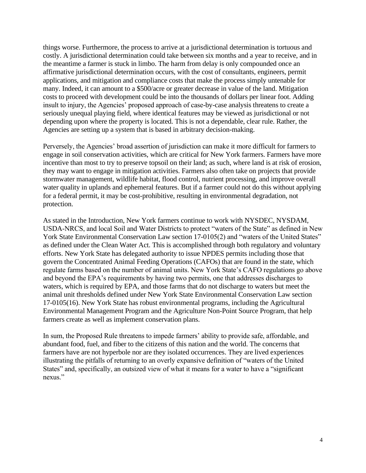things worse. Furthermore, the process to arrive at a jurisdictional determination is tortuous and costly. A jurisdictional determination could take between six months and a year to receive, and in the meantime a farmer is stuck in limbo. The harm from delay is only compounded once an affirmative jurisdictional determination occurs, with the cost of consultants, engineers, permit applications, and mitigation and compliance costs that make the process simply untenable for many. Indeed, it can amount to a \$500/acre or greater decrease in value of the land. Mitigation costs to proceed with development could be into the thousands of dollars per linear foot. Adding insult to injury, the Agencies' proposed approach of case-by-case analysis threatens to create a seriously unequal playing field, where identical features may be viewed as jurisdictional or not depending upon where the property is located. This is not a dependable, clear rule. Rather, the Agencies are setting up a system that is based in arbitrary decision-making.

Perversely, the Agencies' broad assertion of jurisdiction can make it more difficult for farmers to engage in soil conservation activities, which are critical for New York farmers. Farmers have more incentive than most to try to preserve topsoil on their land; as such, where land is at risk of erosion, they may want to engage in mitigation activities. Farmers also often take on projects that provide stormwater management, wildlife habitat, flood control, nutrient processing, and improve overall water quality in uplands and ephemeral features. But if a farmer could not do this without applying for a federal permit, it may be cost-prohibitive, resulting in environmental degradation, not protection.

As stated in the Introduction, New York farmers continue to work with NYSDEC, NYSDAM, USDA-NRCS, and local Soil and Water Districts to protect "waters of the State" as defined in New York State Environmental Conservation Law section 17-0105(2) and "waters of the United States" as defined under the Clean Water Act. This is accomplished through both regulatory and voluntary efforts. New York State has delegated authority to issue NPDES permits including those that govern the Concentrated Animal Feeding Operations (CAFOs) that are found in the state, which regulate farms based on the number of animal units. New York State's CAFO regulations go above and beyond the EPA's requirements by having two permits, one that addresses discharges to waters, which is required by EPA, and those farms that do not discharge to waters but meet the animal unit thresholds defined under New York State Environmental Conservation Law section 17-0105(16). New York State has robust environmental programs, including the Agricultural Environmental Management Program and the Agriculture Non-Point Source Program, that help farmers create as well as implement conservation plans.

In sum, the Proposed Rule threatens to impede farmers' ability to provide safe, affordable, and abundant food, fuel, and fiber to the citizens of this nation and the world. The concerns that farmers have are not hyperbole nor are they isolated occurrences. They are lived experiences illustrating the pitfalls of returning to an overly expansive definition of "waters of the United States" and, specifically, an outsized view of what it means for a water to have a "significant nexus."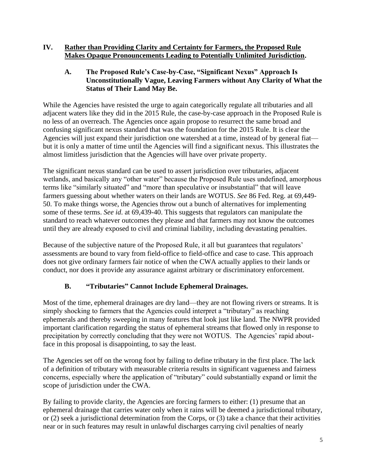#### **IV. Rather than Providing Clarity and Certainty for Farmers, the Proposed Rule Makes Opaque Pronouncements Leading to Potentially Unlimited Jurisdiction.**

#### **A. The Proposed Rule's Case-by-Case, "Significant Nexus" Approach Is Unconstitutionally Vague, Leaving Farmers without Any Clarity of What the Status of Their Land May Be.**

While the Agencies have resisted the urge to again categorically regulate all tributaries and all adjacent waters like they did in the 2015 Rule, the case-by-case approach in the Proposed Rule is no less of an overreach. The Agencies once again propose to resurrect the same broad and confusing significant nexus standard that was the foundation for the 2015 Rule. It is clear the Agencies will just expand their jurisdiction one watershed at a time, instead of by general fiat but it is only a matter of time until the Agencies will find a significant nexus. This illustrates the almost limitless jurisdiction that the Agencies will have over private property.

The significant nexus standard can be used to assert jurisdiction over tributaries, adjacent wetlands, and basically any "other water" because the Proposed Rule uses undefined, amorphous terms like "similarly situated" and "more than speculative or insubstantial" that will leave farmers guessing about whether waters on their lands are WOTUS. *See* 86 Fed. Reg. at 69,449- 50. To make things worse, the Agencies throw out a bunch of alternatives for implementing some of these terms. *See id*. at 69,439-40. This suggests that regulators can manipulate the standard to reach whatever outcomes they please and that farmers may not know the outcomes until they are already exposed to civil and criminal liability, including devastating penalties.

Because of the subjective nature of the Proposed Rule, it all but guarantees that regulators' assessments are bound to vary from field-office to field-office and case to case. This approach does not give ordinary farmers fair notice of when the CWA actually applies to their lands or conduct, nor does it provide any assurance against arbitrary or discriminatory enforcement.

# **B. "Tributaries" Cannot Include Ephemeral Drainages.**

Most of the time, ephemeral drainages are dry land—they are not flowing rivers or streams. It is simply shocking to farmers that the Agencies could interpret a "tributary" as reaching ephemerals and thereby sweeping in many features that look just like land. The NWPR provided important clarification regarding the status of ephemeral streams that flowed only in response to precipitation by correctly concluding that they were not WOTUS. The Agencies' rapid aboutface in this proposal is disappointing, to say the least.

The Agencies set off on the wrong foot by failing to define tributary in the first place. The lack of a definition of tributary with measurable criteria results in significant vagueness and fairness concerns, especially where the application of "tributary" could substantially expand or limit the scope of jurisdiction under the CWA.

By failing to provide clarity, the Agencies are forcing farmers to either: (1) presume that an ephemeral drainage that carries water only when it rains will be deemed a jurisdictional tributary, or (2) seek a jurisdictional determination from the Corps, or (3) take a chance that their activities near or in such features may result in unlawful discharges carrying civil penalties of nearly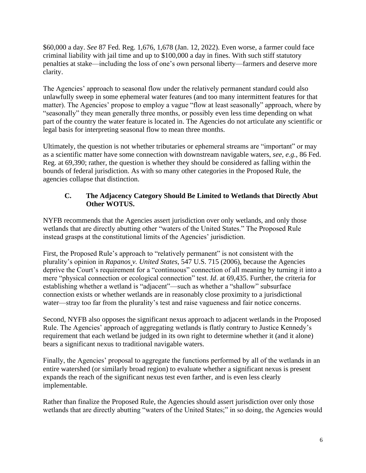\$60,000 a day. *See* 87 Fed. Reg. 1,676, 1,678 (Jan. 12, 2022). Even worse, a farmer could face criminal liability with jail time and up to \$100,000 a day in fines. With such stiff statutory penalties at stake—including the loss of one's own personal liberty—farmers and deserve more clarity.

The Agencies' approach to seasonal flow under the relatively permanent standard could also unlawfully sweep in some ephemeral water features (and too many intermittent features for that matter). The Agencies' propose to employ a vague "flow at least seasonally" approach, where by "seasonally" they mean generally three months, or possibly even less time depending on what part of the country the water feature is located in. The Agencies do not articulate any scientific or legal basis for interpreting seasonal flow to mean three months.

Ultimately, the question is not whether tributaries or ephemeral streams are "important" or may as a scientific matter have some connection with downstream navigable waters, *see*, *e.g.*, 86 Fed. Reg. at 69,390; rather, the question is whether they should be considered as falling within the bounds of federal jurisdiction. As with so many other categories in the Proposed Rule, the agencies collapse that distinction.

# **C. The Adjacency Category Should Be Limited to Wetlands that Directly Abut Other WOTUS.**

NYFB recommends that the Agencies assert jurisdiction over only wetlands, and only those wetlands that are directly abutting other "waters of the United States." The Proposed Rule instead grasps at the constitutional limits of the Agencies' jurisdiction.

First, the Proposed Rule's approach to "relatively permanent" is not consistent with the plurality's opinion in *Rapanos v. United States*, 547 U.S. 715 (2006), because the Agencies deprive the Court's requirement for a "continuous" connection of all meaning by turning it into a mere "physical connection or ecological connection" test. *Id*. at 69,435. Further, the criteria for establishing whether a wetland is "adjacent"—such as whether a "shallow" subsurface connection exists or whether wetlands are in reasonably close proximity to a jurisdictional water—stray too far from the plurality's test and raise vagueness and fair notice concerns.

Second, NYFB also opposes the significant nexus approach to adjacent wetlands in the Proposed Rule. The Agencies' approach of aggregating wetlands is flatly contrary to Justice Kennedy's requirement that each wetland be judged in its own right to determine whether it (and it alone) bears a significant nexus to traditional navigable waters.

Finally, the Agencies' proposal to aggregate the functions performed by all of the wetlands in an entire watershed (or similarly broad region) to evaluate whether a significant nexus is present expands the reach of the significant nexus test even farther, and is even less clearly implementable.

Rather than finalize the Proposed Rule, the Agencies should assert jurisdiction over only those wetlands that are directly abutting "waters of the United States;" in so doing, the Agencies would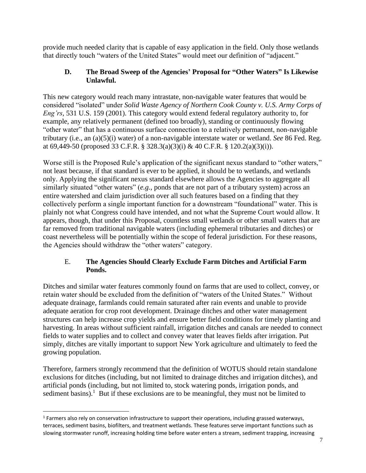provide much needed clarity that is capable of easy application in the field. Only those wetlands that directly touch "waters of the United States" would meet our definition of "adjacent."

# **D. The Broad Sweep of the Agencies' Proposal for "Other Waters" Is Likewise Unlawful.**

This new category would reach many intrastate, non-navigable water features that would be considered "isolated" under *Solid Waste Agency of Northern Cook County v. U.S. Army Corps of Eng'rs*, 531 U.S. 159 (2001). This category would extend federal regulatory authority to, for example, any relatively permanent (defined too broadly), standing or continuously flowing "other water" that has a continuous surface connection to a relatively permanent, non-navigable tributary (i.e., an (a)(5)(i) water) of a non-navigable interstate water or wetland. *See* 86 Fed. Reg. at 69,449-50 (proposed 33 C.F.R. § 328.3(a)(3)(i) & 40 C.F.R. § 120.2(a)(3)(i)).

Worse still is the Proposed Rule's application of the significant nexus standard to "other waters," not least because, if that standard is ever to be applied, it should be to wetlands, and wetlands only. Applying the significant nexus standard elsewhere allows the Agencies to aggregate all similarly situated "other waters" (*e.g.*, ponds that are not part of a tributary system) across an entire watershed and claim jurisdiction over all such features based on a finding that they collectively perform a single important function for a downstream "foundational" water. This is plainly not what Congress could have intended, and not what the Supreme Court would allow. It appears, though, that under this Proposal, countless small wetlands or other small waters that are far removed from traditional navigable waters (including ephemeral tributaries and ditches) or coast nevertheless will be potentially within the scope of federal jurisdiction. For these reasons, the Agencies should withdraw the "other waters" category.

# E. **The Agencies Should Clearly Exclude Farm Ditches and Artificial Farm Ponds.**

Ditches and similar water features commonly found on farms that are used to collect, convey, or retain water should be excluded from the definition of "waters of the United States." Without adequate drainage, farmlands could remain saturated after rain events and unable to provide adequate aeration for crop root development. Drainage ditches and other water management structures can help increase crop yields and ensure better field conditions for timely planting and harvesting. In areas without sufficient rainfall, irrigation ditches and canals are needed to connect fields to water supplies and to collect and convey water that leaves fields after irrigation. Put simply, ditches are vitally important to support New York agriculture and ultimately to feed the growing population.

Therefore, farmers strongly recommend that the definition of WOTUS should retain standalone exclusions for ditches (including, but not limited to drainage ditches and irrigation ditches), and artificial ponds (including, but not limited to, stock watering ponds, irrigation ponds, and sediment basins).<sup>1</sup> But if these exclusions are to be meaningful, they must not be limited to

<sup>&</sup>lt;sup>1</sup> Farmers also rely on conservation infrastructure to support their operations, including grassed waterways, terraces, sediment basins, biofilters, and treatment wetlands. These features serve important functions such as slowing stormwater runoff, increasing holding time before water enters a stream, sediment trapping, increasing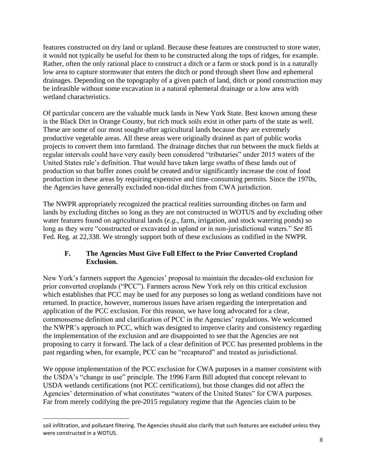features constructed on dry land or upland. Because these features are constructed to store water, it would not typically be useful for them to be constructed along the tops of ridges, for example. Rather, often the only rational place to construct a ditch or a farm or stock pond is in a naturally low area to capture stormwater that enters the ditch or pond through sheet flow and ephemeral drainages. Depending on the topography of a given patch of land, ditch or pond construction may be infeasible without some excavation in a natural ephemeral drainage or a low area with wetland characteristics.

Of particular concern are the valuable muck lands in New York State. Best known among these is the Black Dirt in Orange County, but rich muck soils exist in other parts of the state as well. These are some of our most sought-after agricultural lands because they are extremely productive vegetable areas. All these areas were originally drained as part of public works projects to convert them into farmland. The drainage ditches that run between the muck fields at regular intervals could have very easily been considered "tributaries" under 2015 waters of the United States rule's definition. That would have taken large swaths of these lands out of production so that buffer zones could be created and/or significantly increase the cost of food production in these areas by requiring expensive and time-consuming permits. Since the 1970s, the Agencies have generally excluded non-tidal ditches from CWA jurisdiction.

The NWPR appropriately recognized the practical realities surrounding ditches on farm and lands by excluding ditches so long as they are not constructed in WOTUS and by excluding other water features found on agricultural lands (*e.g.*, farm, irrigation, and stock watering ponds) so long as they were "constructed or excavated in upland or in non-jurisdictional waters." *See* 85 Fed. Reg. at 22,338. We strongly support both of these exclusions as codified in the NWPR.

# **F. The Agencies Must Give Full Effect to the Prior Converted Cropland Exclusion.**

New York's farmers support the Agencies' proposal to maintain the decades-old exclusion for prior converted croplands ("PCC"). Farmers across New York rely on this critical exclusion which establishes that PCC may be used for any purposes so long as wetland conditions have not returned. In practice, however, numerous issues have arisen regarding the interpretation and application of the PCC exclusion. For this reason, we have long advocated for a clear, commonsense definition and clarification of PCC in the Agencies' regulations. We welcomed the NWPR's approach to PCC, which was designed to improve clarity and consistency regarding the implementation of the exclusion and are disappointed to see that the Agencies are not proposing to carry it forward. The lack of a clear definition of PCC has presented problems in the past regarding when, for example, PCC can be "recaptured" and treated as jurisdictional.

We oppose implementation of the PCC exclusion for CWA purposes in a manner consistent with the USDA's "change in use" principle. The 1996 Farm Bill adopted that concept relevant to USDA wetlands certifications (not PCC certifications), but those changes did not affect the Agencies' determination of what constitutes "waters of the United States" for CWA purposes. Far from merely codifying the pre-2015 regulatory regime that the Agencies claim to be

soil infiltration, and pollutant filtering. The Agencies should also clarify that such features are excluded unless they were constructed in a WOTUS.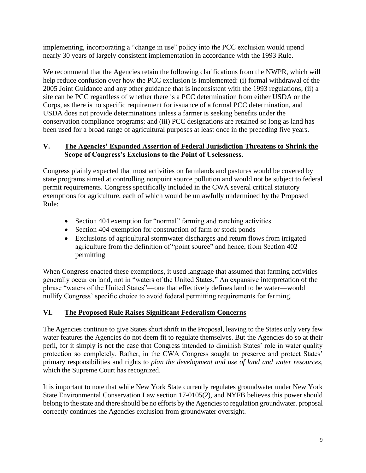implementing, incorporating a "change in use" policy into the PCC exclusion would upend nearly 30 years of largely consistent implementation in accordance with the 1993 Rule.

We recommend that the Agencies retain the following clarifications from the NWPR, which will help reduce confusion over how the PCC exclusion is implemented: (i) formal withdrawal of the 2005 Joint Guidance and any other guidance that is inconsistent with the 1993 regulations; (ii) a site can be PCC regardless of whether there is a PCC determination from either USDA or the Corps, as there is no specific requirement for issuance of a formal PCC determination, and USDA does not provide determinations unless a farmer is seeking benefits under the conservation compliance programs; and (iii) PCC designations are retained so long as land has been used for a broad range of agricultural purposes at least once in the preceding five years.

#### **V. The Agencies' Expanded Assertion of Federal Jurisdiction Threatens to Shrink the Scope of Congress's Exclusions to the Point of Uselessness.**

Congress plainly expected that most activities on farmlands and pastures would be covered by state programs aimed at controlling nonpoint source pollution and would not be subject to federal permit requirements. Congress specifically included in the CWA several critical statutory exemptions for agriculture, each of which would be unlawfully undermined by the Proposed Rule:

- Section 404 exemption for "normal" farming and ranching activities
- Section 404 exemption for construction of farm or stock ponds
- Exclusions of agricultural stormwater discharges and return flows from irrigated agriculture from the definition of "point source" and hence, from Section 402 permitting

When Congress enacted these exemptions, it used language that assumed that farming activities generally occur on land, not in "waters of the United States." An expansive interpretation of the phrase "waters of the United States"—one that effectively defines land to be water—would nullify Congress' specific choice to avoid federal permitting requirements for farming.

# **VI. The Proposed Rule Raises Significant Federalism Concerns**

The Agencies continue to give States short shrift in the Proposal, leaving to the States only very few water features the Agencies do not deem fit to regulate themselves. But the Agencies do so at their peril, for it simply is not the case that Congress intended to diminish States' role in water quality protection so completely. Rather, in the CWA Congress sought to preserve and protect States' primary responsibilities and rights to *plan the development and use of land and water resources*, which the Supreme Court has recognized.

It is important to note that while New York State currently regulates groundwater under New York State Environmental Conservation Law section 17-0105(2), and NYFB believes this power should belong to the state and there should be no efforts by the Agencies to regulation groundwater. proposal correctly continues the Agencies exclusion from groundwater oversight.